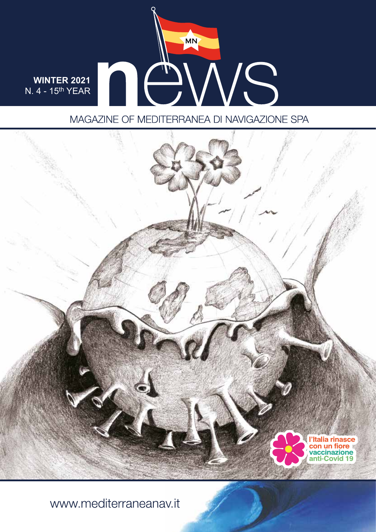

## MAGAZINE OF MEDITERRANEA DI NAVIGAZIONE SPA



www.mediterraneanav.it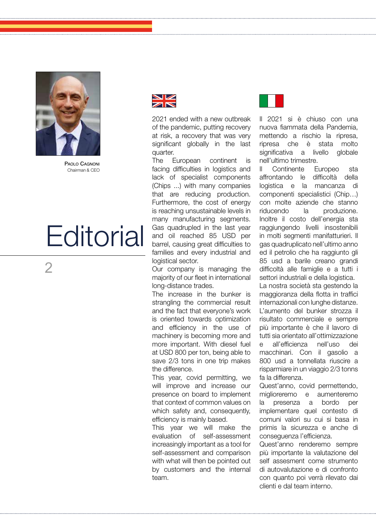

 $\overline{\mathcal{L}}$ 

PAOLO CAGNONI Chairman & CEO

# **Editorial**

2021 ended with a new outbreak of the pandemic, putting recovery at risk, a recovery that was very significant globally in the last quarter.

The European continent is facing difficulties in logistics and lack of specialist components (Chips ...) with many companies that are reducing production. Furthermore, the cost of energy is reaching unsustainable levels in many manufacturing segments. Gas quadrupled in the last year and oil reached 85 USD per barrel, causing great difficulties to families and every industrial and logistical sector.

Our company is managing the majority of our fleet in international long-distance trades.

The increase in the bunker is strangling the commercial result and the fact that everyone's work is oriented towards optimization and efficiency in the use of machinery is becoming more and more important. With diesel fuel at USD 800 per ton, being able to save 2/3 tons in one trip makes the difference.

This year, covid permitting, we will improve and increase our presence on board to implement that context of common values on which safety and, consequently, efficiency is mainly based.

This year we will make the evaluation of self-assessment increasingly important as a tool for self-assessment and comparison with what will then be pointed out by customers and the internal team.



Il 2021 si è chiuso con una nuova fiammata della Pandemia, mettendo a rischio la ripresa, ripresa che è stata molto significativa a livello globale nell'ultimo trimestre.

Il Continente Europeo sta affrontando le difficoltà della logistica e la mancanza di componenti specialistici (Chip…) con molte aziende che stanno riducendo la produzione. Inoltre il costo dell'energia sta raggiungendo livelli insostenibili in molti segmenti manifatturieri. Il gas quadruplicato nell'ultimo anno ed il petrolio che ha raggiunto gli 85 usd a barile creano grandi difficoltà alle famiglie e a tutti i settori industriali e della logistica.

La nostra società sta gestendo la maggioranza della flotta in traffici internazionali con lunghe distanze. L'aumento del bunker strozza il risultato commerciale e sempre più importante è che il lavoro di tutti sia orientato all'ottimizzazione e all'efficienza nell'uso dei macchinari. Con il gasolio a 800 usd a tonnellata riuscire a risparmiare in un viaggio 2/3 tonns fa la differenza.

Quest'anno, covid permettendo, miglioreremo e aumenteremo la presenza a bordo per implementare quel contesto di comuni valori su cui si basa in primis la sicurezza e anche di conseguenza l'efficienza.

Quest'anno renderemo sempre più importante la valutazione del self assesment come strumento di autovalutazione e di confronto con quanto poi verrà rilevato dai clienti e dal team interno.